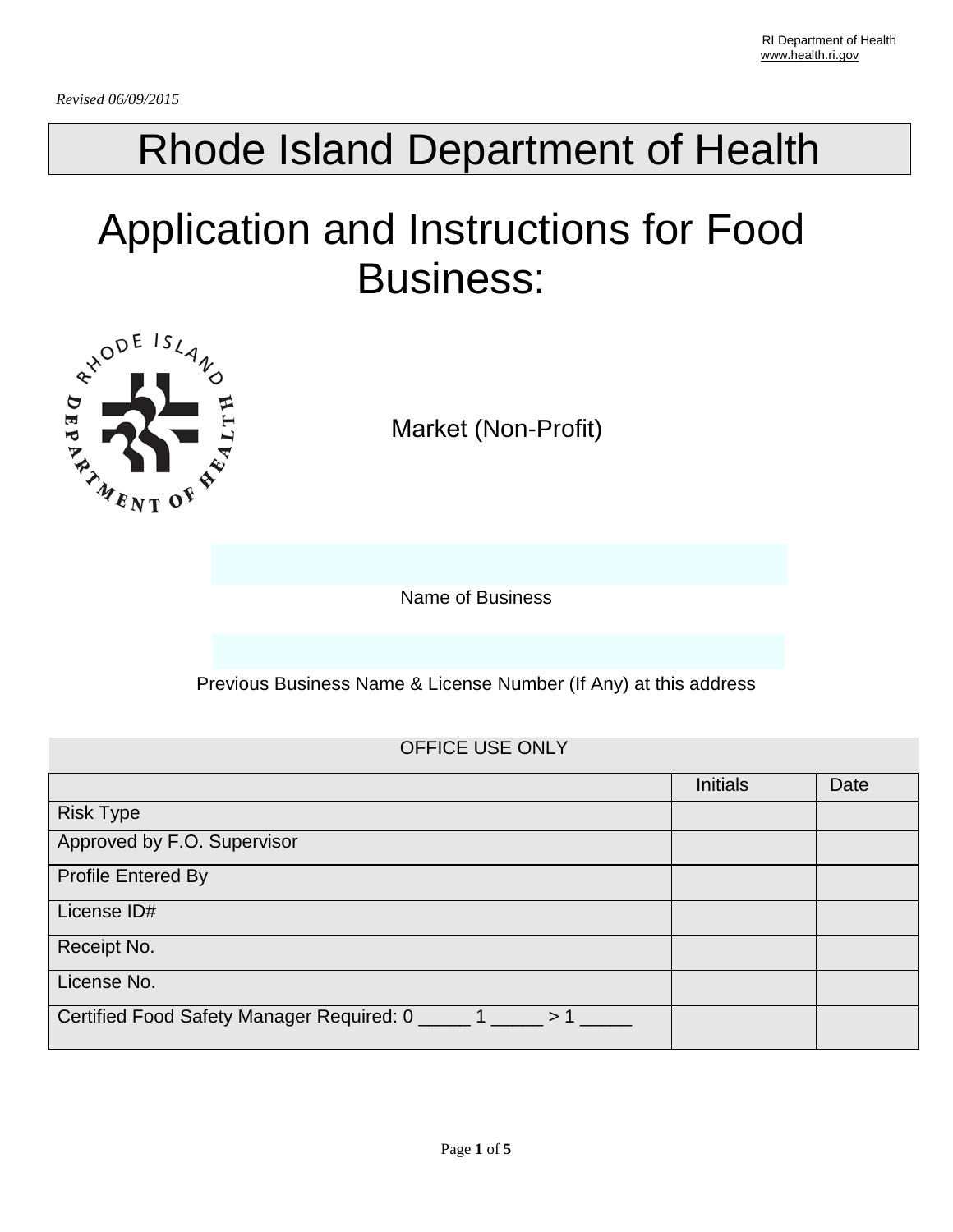# Rhode Island Department of Health

# Application and Instructions for Food Business:



Market (Non-Profit)

Name of Business

Previous Business Name & License Number (If Any) at this address

## OFFICE USE ONLY

|                                                                | <b>Initials</b> | Date |
|----------------------------------------------------------------|-----------------|------|
| <b>Risk Type</b>                                               |                 |      |
| Approved by F.O. Supervisor                                    |                 |      |
| <b>Profile Entered By</b>                                      |                 |      |
| License ID#                                                    |                 |      |
| Receipt No.                                                    |                 |      |
| License No.                                                    |                 |      |
| Certified Food Safety Manager Required: 0 ______ 1 _____<br>>1 |                 |      |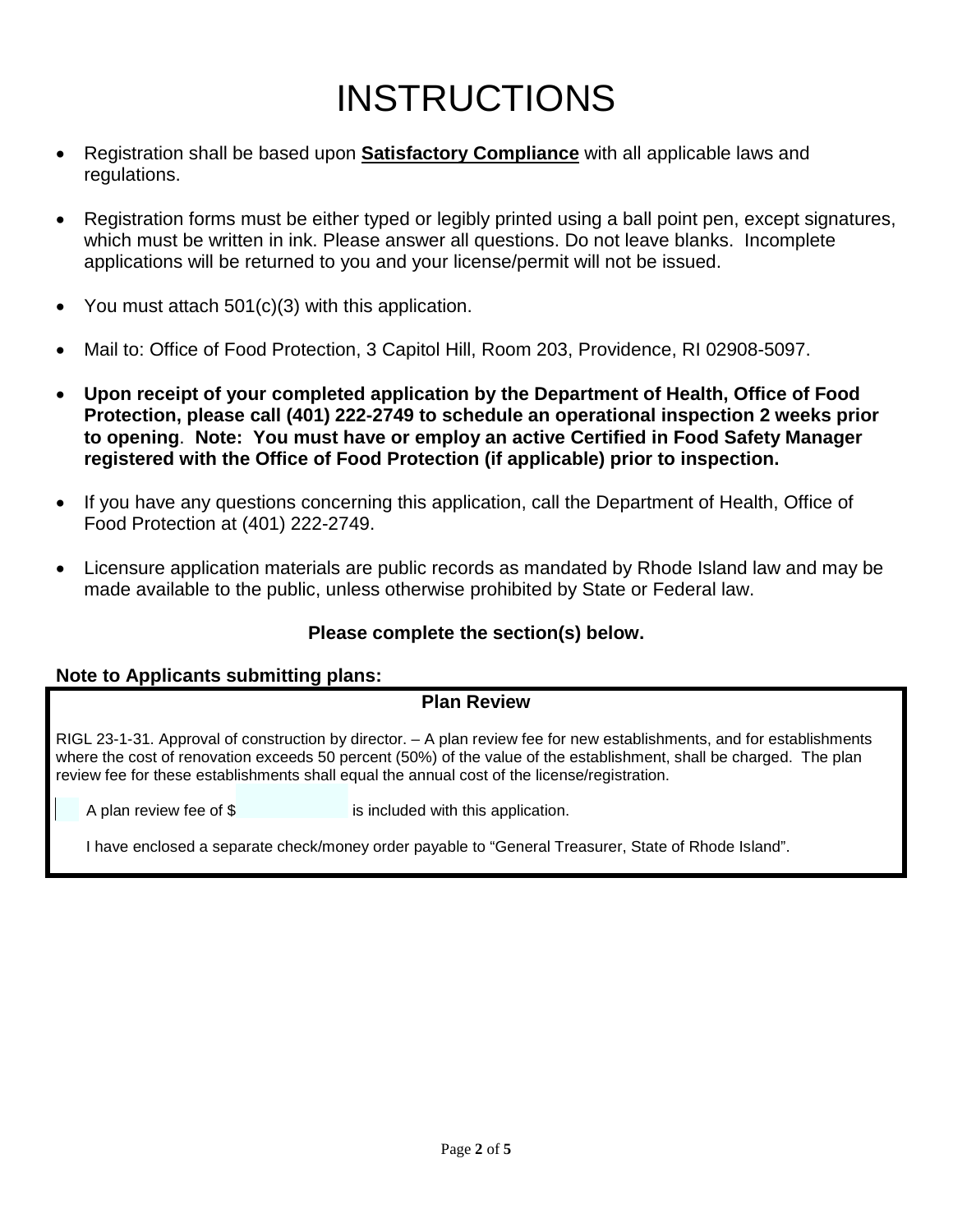# INSTRUCTIONS

- Registration shall be based upon **Satisfactory Compliance** with all applicable laws and regulations.
- Registration forms must be either typed or legibly printed using a ball point pen, except signatures, which must be written in ink. Please answer all questions. Do not leave blanks. Incomplete applications will be returned to you and your license/permit will not be issued.
- You must attach 501(c)(3) with this application.
- Mail to: Office of Food Protection, 3 Capitol Hill, Room 203, Providence, RI 02908-5097.
- **Upon receipt of your completed application by the Department of Health, Office of Food Protection, please call (401) 222-2749 to schedule an operational inspection 2 weeks prior to opening**. **Note: You must have or employ an active Certified in Food Safety Manager registered with the Office of Food Protection (if applicable) prior to inspection.**
- If you have any questions concerning this application, call the Department of Health, Office of Food Protection at (401) 222-2749.
- Licensure application materials are public records as mandated by Rhode Island law and may be made available to the public, unless otherwise prohibited by State or Federal law.

## **Please complete the section(s) below.**

#### **Note to Applicants submitting plans:**

## **Plan Review**

RIGL 23-1-31. Approval of construction by director. – A plan review fee for new establishments, and for establishments where the cost of renovation exceeds 50 percent (50%) of the value of the establishment, shall be charged. The plan review fee for these establishments shall equal the annual cost of the license/registration.

A plan review fee of \$ is included with this application.

I have enclosed a separate check/money order payable to "General Treasurer, State of Rhode Island".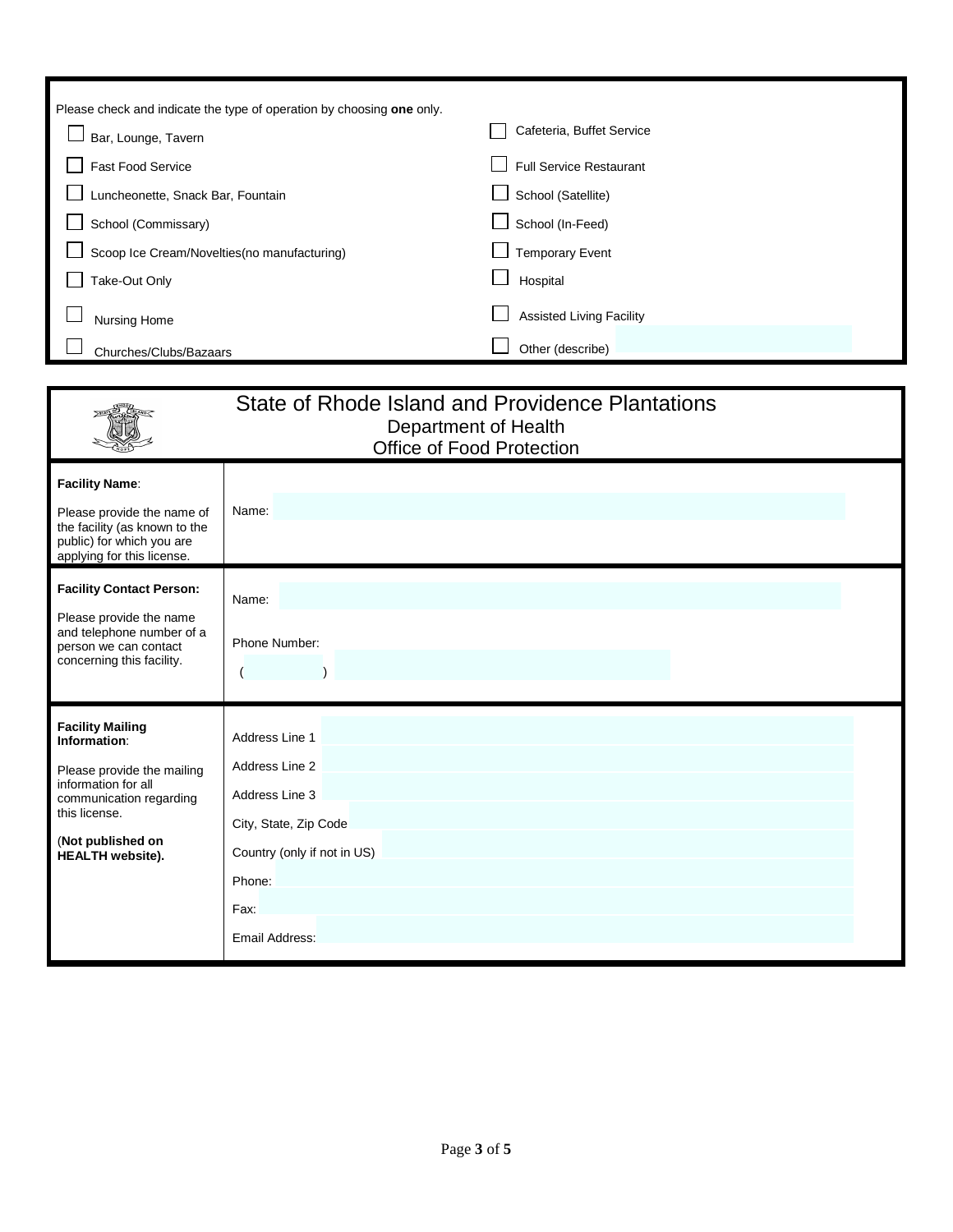| Please check and indicate the type of operation by choosing one only. |                                 |
|-----------------------------------------------------------------------|---------------------------------|
| Bar, Lounge, Tavern                                                   | Cafeteria, Buffet Service       |
| <b>Fast Food Service</b>                                              | <b>Full Service Restaurant</b>  |
| Luncheonette, Snack Bar, Fountain                                     | School (Satellite)              |
| School (Commissary)                                                   | School (In-Feed)                |
| Scoop Ice Cream/Novelties(no manufacturing)                           | <b>Temporary Event</b>          |
| Take-Out Only                                                         | Hospital                        |
| Nursing Home                                                          | <b>Assisted Living Facility</b> |
| Churches/Clubs/Bazaars                                                | Other (describe)                |

|                                                                                                                                                                                          | State of Rhode Island and Providence Plantations<br>Department of Health<br>Office of Food Protection                                          |
|------------------------------------------------------------------------------------------------------------------------------------------------------------------------------------------|------------------------------------------------------------------------------------------------------------------------------------------------|
| <b>Facility Name:</b><br>Please provide the name of<br>the facility (as known to the<br>public) for which you are<br>applying for this license.                                          | Name:                                                                                                                                          |
| <b>Facility Contact Person:</b><br>Please provide the name<br>and telephone number of a<br>person we can contact<br>concerning this facility.                                            | Name:<br>Phone Number:                                                                                                                         |
| <b>Facility Mailing</b><br>Information:<br>Please provide the mailing<br>information for all<br>communication regarding<br>this license.<br>(Not published on<br><b>HEALTH</b> website). | Address Line 1<br>Address Line 2<br>Address Line 3<br>City, State, Zip Code<br>Country (only if not in US)<br>Phone:<br>Fax:<br>Email Address: |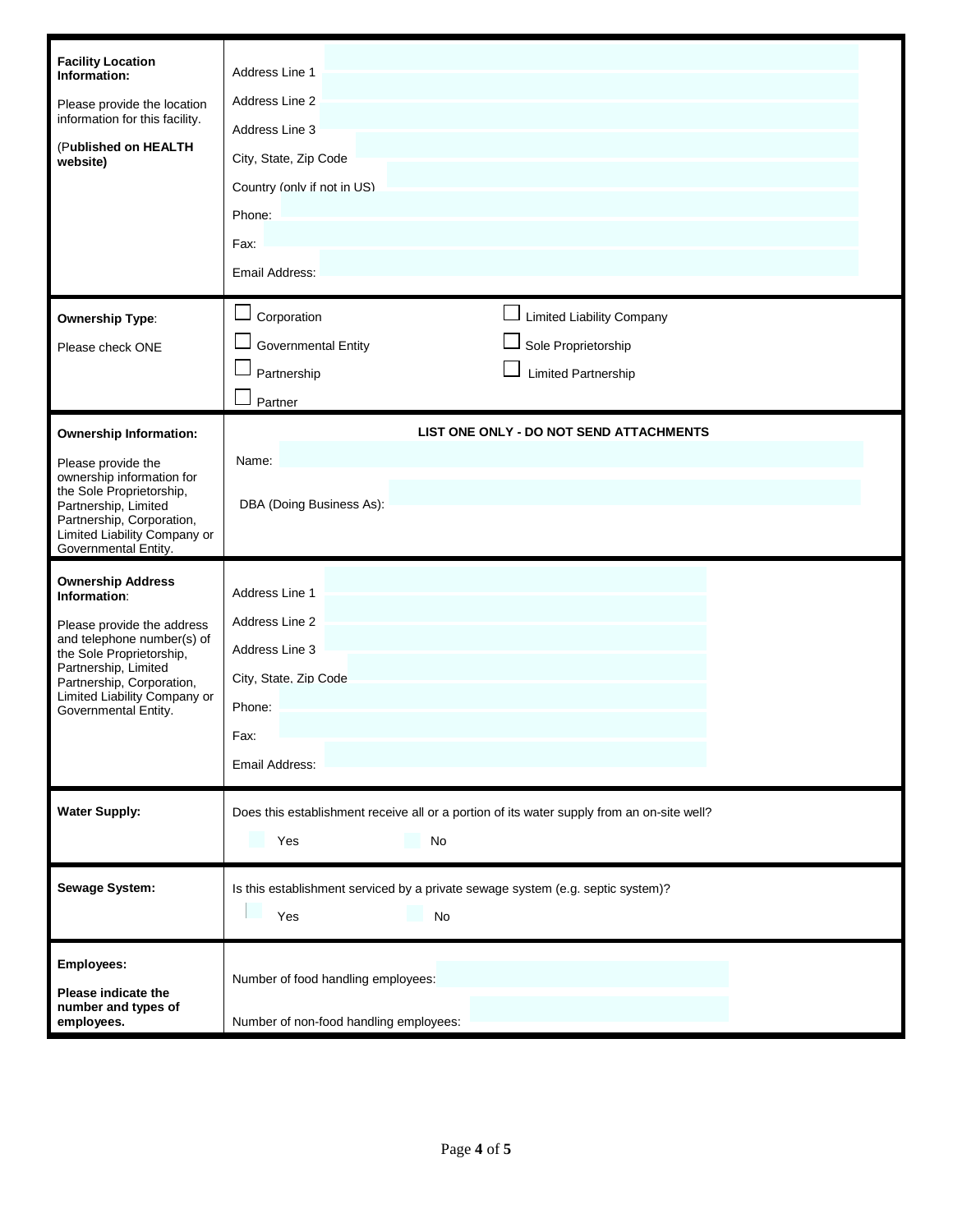| <b>Facility Location</b><br>Information:<br>Please provide the location<br>information for this facility.<br>(Published on HEALTH<br>website)                                                                                                 | Address Line 1<br>Address Line 2<br>Address Line 3<br>City, State, Zip Code<br>Country (only if not in US)<br>Phone:<br>Fax:<br>Email Address:                  |
|-----------------------------------------------------------------------------------------------------------------------------------------------------------------------------------------------------------------------------------------------|-----------------------------------------------------------------------------------------------------------------------------------------------------------------|
| <b>Ownership Type:</b><br>Please check ONE                                                                                                                                                                                                    | $\Box$<br>Corporation<br><b>Limited Liability Company</b><br>Sole Proprietorship<br>Governmental Entity<br><b>Limited Partnership</b><br>Partnership<br>Partner |
| <b>Ownership Information:</b><br>Please provide the<br>ownership information for<br>the Sole Proprietorship,<br>Partnership, Limited<br>Partnership, Corporation,<br>Limited Liability Company or<br>Governmental Entity.                     | LIST ONE ONLY - DO NOT SEND ATTACHMENTS<br>Name:<br>DBA (Doing Business As):                                                                                    |
| <b>Ownership Address</b><br>Information:<br>Please provide the address<br>and telephone number(s) of<br>the Sole Proprietorship,<br>Partnership, Limited<br>Partnership, Corporation,<br>Limited Liability Company or<br>Governmental Entity. | Address Line 1<br>Address Line 2<br>Address Line 3<br>City, State. Zip Code<br>Phone:<br>Fax:<br>Email Address:                                                 |
| <b>Water Supply:</b>                                                                                                                                                                                                                          | Does this establishment receive all or a portion of its water supply from an on-site well?<br>Yes<br>No                                                         |
| Sewage System:                                                                                                                                                                                                                                | Is this establishment serviced by a private sewage system (e.g. septic system)?<br>No<br>Yes                                                                    |
| Employees:<br>Please indicate the<br>number and types of<br>employees.                                                                                                                                                                        | Number of food handling employees:<br>Number of non-food handling employees:                                                                                    |